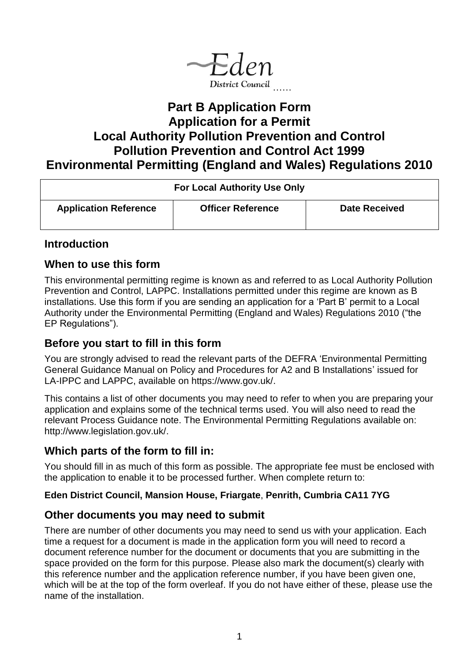

# **Part B Application Form Application for a Permit Local Authority Pollution Prevention and Control Pollution Prevention and Control Act 1999 Environmental Permitting (England and Wales) Regulations 2010**

| <b>For Local Authority Use Only</b> |                          |                      |
|-------------------------------------|--------------------------|----------------------|
| <b>Application Reference</b>        | <b>Officer Reference</b> | <b>Date Received</b> |

## **Introduction**

## **When to use this form**

This environmental permitting regime is known as and referred to as Local Authority Pollution Prevention and Control, LAPPC. Installations permitted under this regime are known as B installations. Use this form if you are sending an application for a 'Part B' permit to a Local Authority under the Environmental Permitting (England and Wales) Regulations 2010 ("the EP Regulations").

## **Before you start to fill in this form**

You are strongly advised to read the relevant parts of the DEFRA 'Environmental Permitting General Guidance Manual on Policy and Procedures for A2 and B Installations' issued for LA-IPPC and LAPPC, available on https://www.gov.uk/.

This contains a list of other documents you may need to refer to when you are preparing your application and explains some of the technical terms used. You will also need to read the relevant Process Guidance note. The Environmental Permitting Regulations available on: http://www.legislation.gov.uk/.

## **Which parts of the form to fill in:**

You should fill in as much of this form as possible. The appropriate fee must be enclosed with the application to enable it to be processed further. When complete return to:

## **Eden District Council, Mansion House, Friargate**, **Penrith, Cumbria CA11 7YG**

## **Other documents you may need to submit**

There are number of other documents you may need to send us with your application. Each time a request for a document is made in the application form you will need to record a document reference number for the document or documents that you are submitting in the space provided on the form for this purpose. Please also mark the document(s) clearly with this reference number and the application reference number, if you have been given one, which will be at the top of the form overleaf. If you do not have either of these, please use the name of the installation.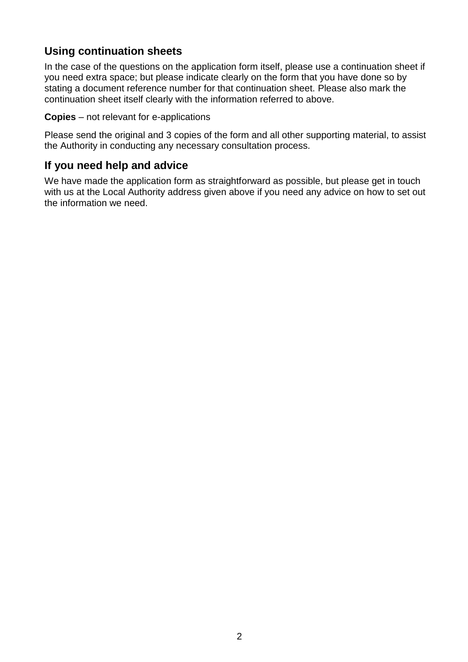# **Using continuation sheets**

In the case of the questions on the application form itself, please use a continuation sheet if you need extra space; but please indicate clearly on the form that you have done so by stating a document reference number for that continuation sheet. Please also mark the continuation sheet itself clearly with the information referred to above.

**Copies** – not relevant for e-applications

Please send the original and 3 copies of the form and all other supporting material, to assist the Authority in conducting any necessary consultation process.

# **If you need help and advice**

We have made the application form as straightforward as possible, but please get in touch with us at the Local Authority address given above if you need any advice on how to set out the information we need.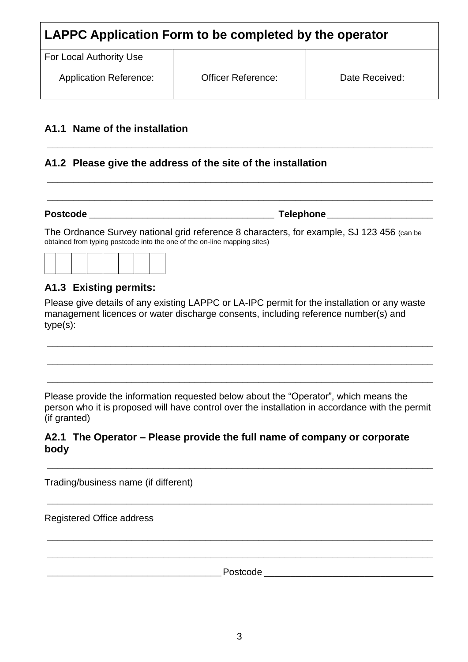| LAPPC Application Form to be completed by the operator |                           |                |
|--------------------------------------------------------|---------------------------|----------------|
| For Local Authority Use                                |                           |                |
| <b>Application Reference:</b>                          | <b>Officer Reference:</b> | Date Received: |

*\_\_\_\_\_\_\_\_\_\_\_\_\_\_\_\_\_\_\_\_\_\_\_\_\_\_\_\_\_\_\_\_\_\_\_\_\_\_\_\_\_\_\_\_\_\_\_\_\_\_\_\_\_\_\_\_\_\_\_\_\_\_\_\_\_\_\_\_\_\_\_\_\_*

*\_\_\_\_\_\_\_\_\_\_\_\_\_\_\_\_\_\_\_\_\_\_\_\_\_\_\_\_\_\_\_\_\_\_\_\_\_\_\_\_\_\_\_\_\_\_\_\_\_\_\_\_\_\_\_\_\_\_\_\_\_\_\_\_\_\_\_\_\_\_\_\_\_*

*\_\_\_\_\_\_\_\_\_\_\_\_\_\_\_\_\_\_\_\_\_\_\_\_\_\_\_\_\_\_\_\_\_\_\_\_\_\_\_\_\_\_\_\_\_\_\_\_\_\_\_\_\_\_\_\_\_\_\_\_\_\_\_\_\_\_\_\_\_\_\_\_\_*

#### **A1.1 Name of the installation**

## **A1.2 Please give the address of the site of the installation**

**Postcode** *\_\_\_\_\_\_\_\_\_\_\_\_\_\_\_\_\_\_\_\_\_\_\_\_\_\_\_\_\_\_\_\_\_\_\_* **Telephone** *\_\_\_\_\_\_\_\_\_\_\_\_\_\_\_\_\_\_\_\_*

The Ordnance Survey national grid reference 8 characters, for example, SJ 123 456 (can be obtained from typing postcode into the one of the on-line mapping sites)



## **A1.3 Existing permits:**

Please give details of any existing LAPPC or LA-IPC permit for the installation or any waste management licences or water discharge consents, including reference number(s) and type(s):

*\_\_\_\_\_\_\_\_\_\_\_\_\_\_\_\_\_\_\_\_\_\_\_\_\_\_\_\_\_\_\_\_\_\_\_\_\_\_\_\_\_\_\_\_\_\_\_\_\_\_\_\_\_\_\_\_\_\_\_\_\_\_\_\_\_\_\_\_\_\_\_\_\_*

*\_\_\_\_\_\_\_\_\_\_\_\_\_\_\_\_\_\_\_\_\_\_\_\_\_\_\_\_\_\_\_\_\_\_\_\_\_\_\_\_\_\_\_\_\_\_\_\_\_\_\_\_\_\_\_\_\_\_\_\_\_\_\_\_\_\_\_\_\_\_\_\_\_*

*\_\_\_\_\_\_\_\_\_\_\_\_\_\_\_\_\_\_\_\_\_\_\_\_\_\_\_\_\_\_\_\_\_\_\_\_\_\_\_\_\_\_\_\_\_\_\_\_\_\_\_\_\_\_\_\_\_\_\_\_\_\_\_\_\_\_\_\_\_\_\_\_\_*

Please provide the information requested below about the "Operator", which means the person who it is proposed will have control over the installation in accordance with the permit (if granted)

*\_\_\_\_\_\_\_\_\_\_\_\_\_\_\_\_\_\_\_\_\_\_\_\_\_\_\_\_\_\_\_\_\_\_\_\_\_\_\_\_\_\_\_\_\_\_\_\_\_\_\_\_\_\_\_\_\_\_\_\_\_\_\_\_\_\_\_\_\_\_\_\_\_*

*\_\_\_\_\_\_\_\_\_\_\_\_\_\_\_\_\_\_\_\_\_\_\_\_\_\_\_\_\_\_\_\_\_\_\_\_\_\_\_\_\_\_\_\_\_\_\_\_\_\_\_\_\_\_\_\_\_\_\_\_\_\_\_\_\_\_\_\_\_\_\_\_\_*

*\_\_\_\_\_\_\_\_\_\_\_\_\_\_\_\_\_\_\_\_\_\_\_\_\_\_\_\_\_\_\_\_\_\_\_\_\_\_\_\_\_\_\_\_\_\_\_\_\_\_\_\_\_\_\_\_\_\_\_\_\_\_\_\_\_\_\_\_\_\_\_\_\_*

*\_\_\_\_\_\_\_\_\_\_\_\_\_\_\_\_\_\_\_\_\_\_\_\_\_\_\_\_\_\_\_\_\_\_\_\_\_\_\_\_\_\_\_\_\_\_\_\_\_\_\_\_\_\_\_\_\_\_\_\_\_\_\_\_\_\_\_\_\_\_\_\_\_*

#### **A2.1 The Operator – Please provide the full name of company or corporate body**

Trading/business name (if different)

Registered Office address

Postcode **Lateralists**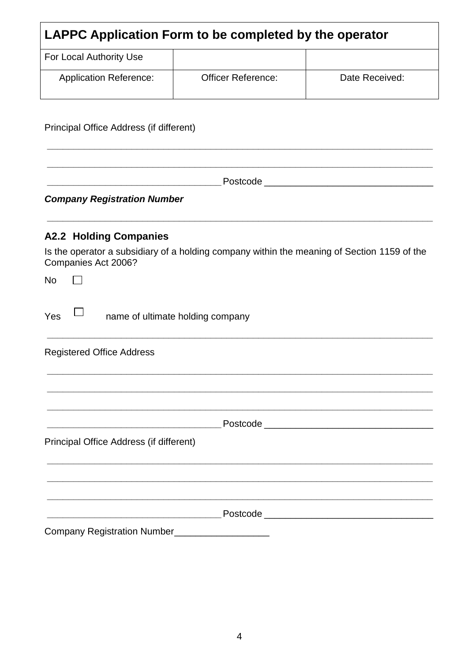| <b>LAPPC Application Form to be completed by the operator</b> |                           |                |
|---------------------------------------------------------------|---------------------------|----------------|
| For Local Authority Use                                       |                           |                |
| <b>Application Reference:</b>                                 | <b>Officer Reference:</b> | Date Received: |

Principal Office Address (if different)

*\_\_\_\_\_\_\_\_\_\_\_\_\_\_\_\_\_\_\_\_\_\_\_\_\_\_\_\_\_\_\_\_\_*Postcode \_\_\_\_\_\_\_\_\_\_\_\_\_\_\_\_\_\_\_\_\_\_\_\_\_\_\_\_\_\_\_\_

*\_\_\_\_\_\_\_\_\_\_\_\_\_\_\_\_\_\_\_\_\_\_\_\_\_\_\_\_\_\_\_\_\_\_\_\_\_\_\_\_\_\_\_\_\_\_\_\_\_\_\_\_\_\_\_\_\_\_\_\_\_\_\_\_\_\_\_\_\_\_\_\_\_*

*\_\_\_\_\_\_\_\_\_\_\_\_\_\_\_\_\_\_\_\_\_\_\_\_\_\_\_\_\_\_\_\_\_\_\_\_\_\_\_\_\_\_\_\_\_\_\_\_\_\_\_\_\_\_\_\_\_\_\_\_\_\_\_\_\_\_\_\_\_\_\_\_\_*

*\_\_\_\_\_\_\_\_\_\_\_\_\_\_\_\_\_\_\_\_\_\_\_\_\_\_\_\_\_\_\_\_\_\_\_\_\_\_\_\_\_\_\_\_\_\_\_\_\_\_\_\_\_\_\_\_\_\_\_\_\_\_\_\_\_\_\_\_\_\_\_\_\_*

*Company Registration Number*

## **A2.2 Holding Companies**

Is the operator a subsidiary of a holding company within the meaning of Section 1159 of the Companies Act 2006?

No  $\Box$  $Yes \Box$  name of ultimate holding company *\_\_\_\_\_\_\_\_\_\_\_\_\_\_\_\_\_\_\_\_\_\_\_\_\_\_\_\_\_\_\_\_\_\_\_\_\_\_\_\_\_\_\_\_\_\_\_\_\_\_\_\_\_\_\_\_\_\_\_\_\_\_\_\_\_\_\_\_\_\_\_\_\_* Registered Office Address *\_\_\_\_\_\_\_\_\_\_\_\_\_\_\_\_\_\_\_\_\_\_\_\_\_\_\_\_\_\_\_\_\_\_\_\_\_\_\_\_\_\_\_\_\_\_\_\_\_\_\_\_\_\_\_\_\_\_\_\_\_\_\_\_\_\_\_\_\_\_\_\_\_ \_\_\_\_\_\_\_\_\_\_\_\_\_\_\_\_\_\_\_\_\_\_\_\_\_\_\_\_\_\_\_\_\_\_\_\_\_\_\_\_\_\_\_\_\_\_\_\_\_\_\_\_\_\_\_\_\_\_\_\_\_\_\_\_\_\_\_\_\_\_\_\_\_ \_\_\_\_\_\_\_\_\_\_\_\_\_\_\_\_\_\_\_\_\_\_\_\_\_\_\_\_\_\_\_\_\_\_\_\_\_\_\_\_\_\_\_\_\_\_\_\_\_\_\_\_\_\_\_\_\_\_\_\_\_\_\_\_\_\_\_\_\_\_\_\_\_ \_\_\_\_\_\_\_\_\_\_\_\_\_\_\_\_\_\_\_\_\_\_\_\_\_\_\_\_\_\_\_\_\_*Postcode \_\_\_\_\_\_\_\_\_\_\_\_\_\_\_\_\_\_\_\_\_\_\_\_\_\_\_\_\_\_\_\_ Principal Office Address (if different) *\_\_\_\_\_\_\_\_\_\_\_\_\_\_\_\_\_\_\_\_\_\_\_\_\_\_\_\_\_\_\_\_\_\_\_\_\_\_\_\_\_\_\_\_\_\_\_\_\_\_\_\_\_\_\_\_\_\_\_\_\_\_\_\_\_\_\_\_\_\_\_\_\_ \_\_\_\_\_\_\_\_\_\_\_\_\_\_\_\_\_\_\_\_\_\_\_\_\_\_\_\_\_\_\_\_\_\_\_\_\_\_\_\_\_\_\_\_\_\_\_\_\_\_\_\_\_\_\_\_\_\_\_\_\_\_\_\_\_\_\_\_\_\_\_\_\_ \_\_\_\_\_\_\_\_\_\_\_\_\_\_\_\_\_\_\_\_\_\_\_\_\_\_\_\_\_\_\_\_\_\_\_\_\_\_\_\_\_\_\_\_\_\_\_\_\_\_\_\_\_\_\_\_\_\_\_\_\_\_\_\_\_\_\_\_\_\_\_\_\_ \_\_\_\_\_\_\_\_\_\_\_\_\_\_\_\_\_\_\_\_\_\_\_\_\_\_\_\_\_\_\_\_\_*Postcode \_\_\_\_\_\_\_\_\_\_\_\_\_\_\_\_\_\_\_\_\_\_\_\_\_\_\_\_\_\_\_\_ Company Registration Number\_\_\_\_\_\_\_\_\_\_\_\_\_\_\_\_\_\_\_\_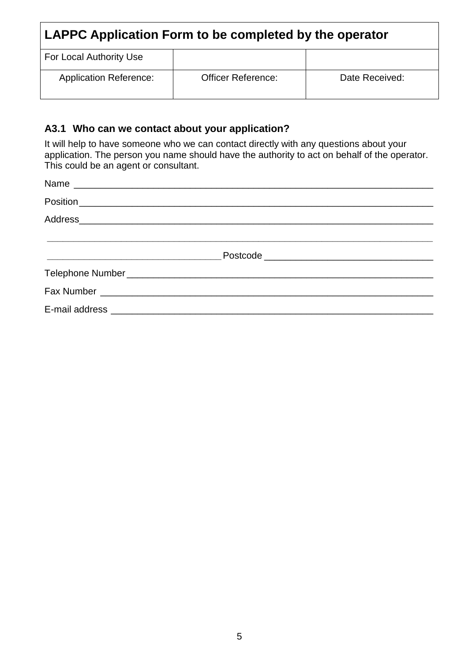| LAPPC Application Form to be completed by the operator |                           |                |
|--------------------------------------------------------|---------------------------|----------------|
| For Local Authority Use                                |                           |                |
| <b>Application Reference:</b>                          | <b>Officer Reference:</b> | Date Received: |

## **A3.1 Who can we contact about your application?**

It will help to have someone who we can contact directly with any questions about your application. The person you name should have the authority to act on behalf of the operator. This could be an agent or consultant.

| <u> 1989 - Johann John Stein, fransk politik (</u> |  |
|----------------------------------------------------|--|
|                                                    |  |
|                                                    |  |
|                                                    |  |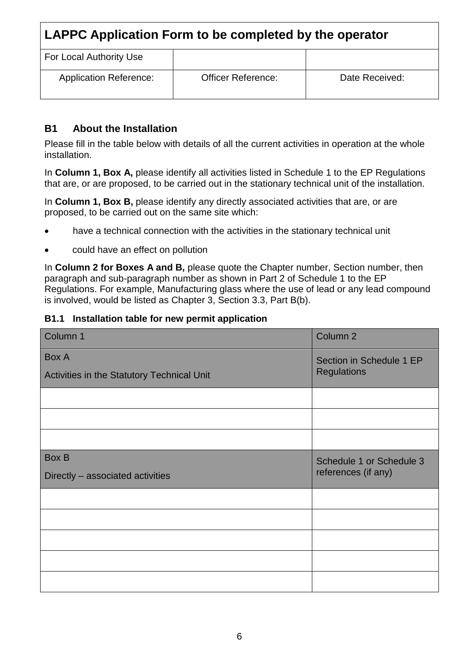| LAPPC Application Form to be completed by the operator |                           |                |
|--------------------------------------------------------|---------------------------|----------------|
| For Local Authority Use                                |                           |                |
| <b>Application Reference:</b>                          | <b>Officer Reference:</b> | Date Received: |

### **B1 About the Installation**

Please fill in the table below with details of all the current activities in operation at the whole installation.

In **Column 1, Box A,** please identify all activities listed in Schedule 1 to the EP Regulations that are, or are proposed, to be carried out in the stationary technical unit of the installation.

In **Column 1, Box B,** please identify any directly associated activities that are, or are proposed, to be carried out on the same site which:

- have a technical connection with the activities in the stationary technical unit
- could have an effect on pollution

In **Column 2 for Boxes A and B,** please quote the Chapter number, Section number, then paragraph and sub-paragraph number as shown in Part 2 of Schedule 1 to the EP Regulations. For example, Manufacturing glass where the use of lead or any lead compound is involved, would be listed as Chapter 3, Section 3.3, Part B(b).

#### **B1.1 Installation table for new permit application**

| Column 1                                   | Column <sub>2</sub>      |
|--------------------------------------------|--------------------------|
| Box A                                      | Section in Schedule 1 EP |
| Activities in the Statutory Technical Unit | <b>Regulations</b>       |
|                                            |                          |
|                                            |                          |
|                                            |                          |
| <b>Box B</b>                               | Schedule 1 or Schedule 3 |
| Directly - associated activities           | references (if any)      |
|                                            |                          |
|                                            |                          |
|                                            |                          |
|                                            |                          |
|                                            |                          |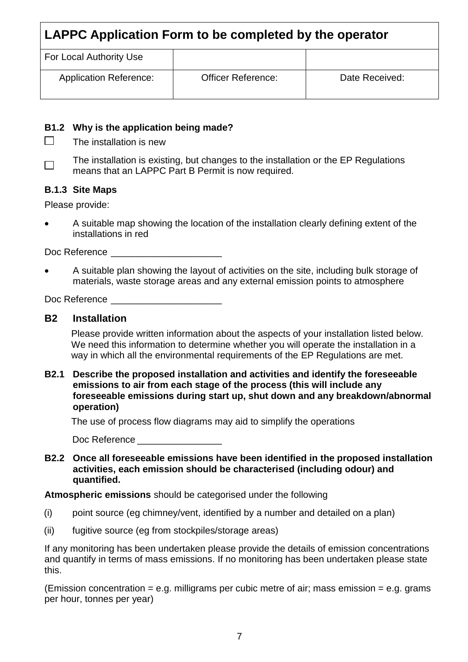| For Local Authority Use       |                           |                |
|-------------------------------|---------------------------|----------------|
| <b>Application Reference:</b> | <b>Officer Reference:</b> | Date Received: |

#### **B1.2 Why is the application being made?**

- $\Box$ The installation is new
- The installation is existing, but changes to the installation or the EP Regulations  $\Box$ means that an LAPPC Part B Permit is now required*.*

#### **B.1.3 Site Maps**

Please provide:

 A suitable map showing the location of the installation clearly defining extent of the installations in red

Doc Reference

 A suitable plan showing the layout of activities on the site, including bulk storage of materials, waste storage areas and any external emission points to atmosphere

Doc Reference

#### **B2 Installation**

Please provide written information about the aspects of your installation listed below. We need this information to determine whether you will operate the installation in a way in which all the environmental requirements of the EP Regulations are met.

**B2.1 Describe the proposed installation and activities and identify the foreseeable emissions to air from each stage of the process (this will include any foreseeable emissions during start up, shut down and any breakdown/abnormal operation)**

The use of process flow diagrams may aid to simplify the operations

Doc Reference **Lating Server** 

**B2.2 Once all foreseeable emissions have been identified in the proposed installation activities, each emission should be characterised (including odour) and quantified.**

**Atmospheric emissions** should be categorised under the following

- (i) point source (eg chimney/vent, identified by a number and detailed on a plan)
- (ii) fugitive source (eg from stockpiles/storage areas)

If any monitoring has been undertaken please provide the details of emission concentrations and quantify in terms of mass emissions. If no monitoring has been undertaken please state this.

(Emission concentration  $=$  e.g. milligrams per cubic metre of air; mass emission  $=$  e.g. grams per hour, tonnes per year)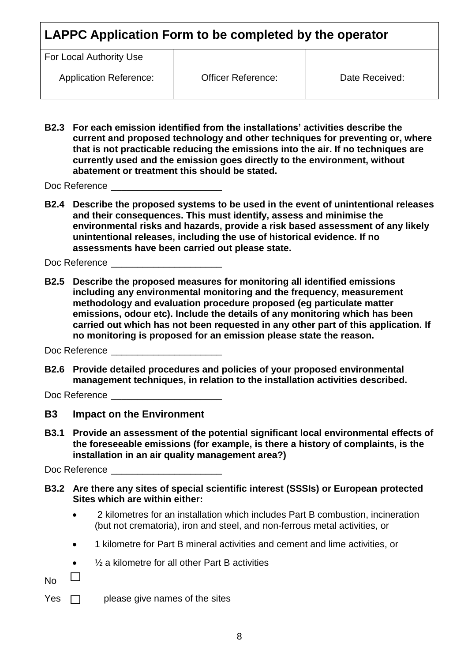| LAPPC Application Form to be completed by the operator |                           |                |
|--------------------------------------------------------|---------------------------|----------------|
| For Local Authority Use                                |                           |                |
| <b>Application Reference:</b>                          | <b>Officer Reference:</b> | Date Received: |

**B2.3 For each emission identified from the installations' activities describe the current and proposed technology and other techniques for preventing or, where that is not practicable reducing the emissions into the air. If no techniques are currently used and the emission goes directly to the environment, without abatement or treatment this should be stated.**

Doc Reference

**B2.4 Describe the proposed systems to be used in the event of unintentional releases and their consequences. This must identify, assess and minimise the environmental risks and hazards, provide a risk based assessment of any likely unintentional releases, including the use of historical evidence. If no assessments have been carried out please state.**

Doc Reference

**B2.5 Describe the proposed measures for monitoring all identified emissions including any environmental monitoring and the frequency, measurement methodology and evaluation procedure proposed (eg particulate matter emissions, odour etc). Include the details of any monitoring which has been carried out which has not been requested in any other part of this application. If no monitoring is proposed for an emission please state the reason.**

Doc Reference

**B2.6 Provide detailed procedures and policies of your proposed environmental management techniques, in relation to the installation activities described.**

Doc Reference

- **B3 Impact on the Environment**
- **B3.1 Provide an assessment of the potential significant local environmental effects of the foreseeable emissions (for example, is there a history of complaints, is the installation in an air quality management area?)**

Doc Reference

- **B3.2 Are there any sites of special scientific interest (SSSIs) or European protected Sites which are within either:**
	- 2 kilometres for an installation which includes Part B combustion, incineration (but not crematoria), iron and steel, and non-ferrous metal activities, or
	- 1 kilometre for Part B mineral activities and cement and lime activities, or
	- ½ a kilometre for all other Part B activities

 $\mathbb{R}^n$ No

Yes  $\Box$  please give names of the sites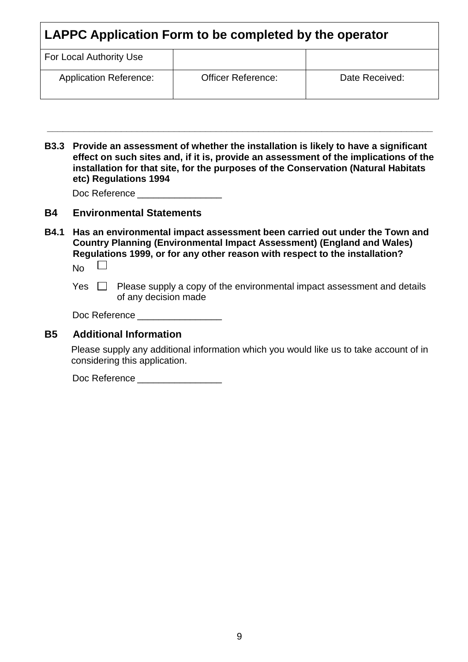| LAPPC Application Form to be completed by the operator |                           |                |
|--------------------------------------------------------|---------------------------|----------------|
| For Local Authority Use                                |                           |                |
| <b>Application Reference:</b>                          | <b>Officer Reference:</b> | Date Received: |

**B3.3 Provide an assessment of whether the installation is likely to have a significant effect on such sites and, if it is, provide an assessment of the implications of the installation for that site, for the purposes of the Conservation (Natural Habitats etc) Regulations 1994**

*\_\_\_\_\_\_\_\_\_\_\_\_\_\_\_\_\_\_\_\_\_\_\_\_\_\_\_\_\_\_\_\_\_\_\_\_\_\_\_\_\_\_\_\_\_\_\_\_\_\_\_\_\_\_\_\_\_\_\_\_\_\_\_\_\_\_\_\_\_\_\_\_\_*

| Doc Reference |  |
|---------------|--|
|---------------|--|

#### **B4 Environmental Statements**

**B4.1 Has an environmental impact assessment been carried out under the Town and Country Planning (Environmental Impact Assessment) (England and Wales) Regulations 1999, or for any other reason with respect to the installation?**  $\Box$ No

Yes  $\Box$  Please supply a copy of the environmental impact assessment and details of any decision made

| Doc Reference |  |
|---------------|--|
|---------------|--|

#### **B5 Additional Information**

Please supply any additional information which you would like us to take account of in considering this application.

Doc Reference \_\_\_\_\_\_\_\_\_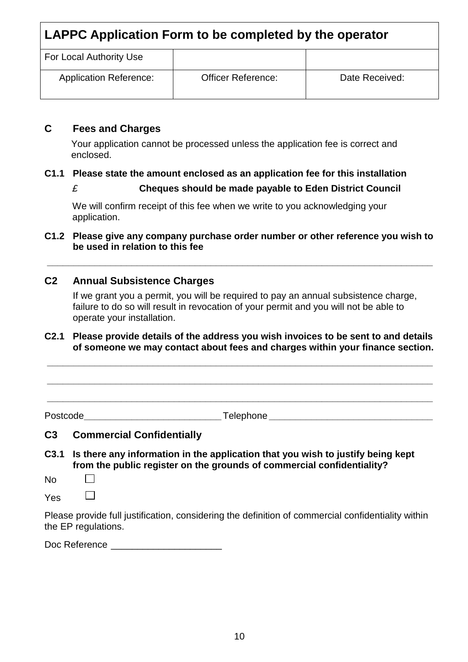| For Local Authority Use       |                           |                |
|-------------------------------|---------------------------|----------------|
| <b>Application Reference:</b> | <b>Officer Reference:</b> | Date Received: |

#### **C Fees and Charges**

Your application cannot be processed unless the application fee is correct and enclosed.

### **C1.1 Please state the amount enclosed as an application fee for this installation**

*£* **Cheques should be made payable to Eden District Council**

We will confirm receipt of this fee when we write to you acknowledging your application.

#### **C1.2 Please give any company purchase order number or other reference you wish to be used in relation to this fee**

*\_\_\_\_\_\_\_\_\_\_\_\_\_\_\_\_\_\_\_\_\_\_\_\_\_\_\_\_\_\_\_\_\_\_\_\_\_\_\_\_\_\_\_\_\_\_\_\_\_\_\_\_\_\_\_\_\_\_\_\_\_\_\_\_\_\_\_\_\_\_\_\_\_*

### **C2 Annual Subsistence Charges**

If we grant you a permit, you will be required to pay an annual subsistence charge, failure to do so will result in revocation of your permit and you will not be able to operate your installation.

#### **C2.1 Please provide details of the address you wish invoices to be sent to and details of someone we may contact about fees and charges within your finance section.**

*\_\_\_\_\_\_\_\_\_\_\_\_\_\_\_\_\_\_\_\_\_\_\_\_\_\_\_\_\_\_\_\_\_\_\_\_\_\_\_\_\_\_\_\_\_\_\_\_\_\_\_\_\_\_\_\_\_\_\_\_\_\_\_\_\_\_\_\_\_\_\_\_\_*

*\_\_\_\_\_\_\_\_\_\_\_\_\_\_\_\_\_\_\_\_\_\_\_\_\_\_\_\_\_\_\_\_\_\_\_\_\_\_\_\_\_\_\_\_\_\_\_\_\_\_\_\_\_\_\_\_\_\_\_\_\_\_\_\_\_\_\_\_\_\_\_\_\_*

*\_\_\_\_\_\_\_\_\_\_\_\_\_\_\_\_\_\_\_\_\_\_\_\_\_\_\_\_\_\_\_\_\_\_\_\_\_\_\_\_\_\_\_\_\_\_\_\_\_\_\_\_\_\_\_\_\_\_\_\_\_\_\_\_\_\_\_\_\_\_\_\_\_*

Postcode*\_\_\_\_\_\_\_\_\_\_\_\_\_\_\_\_\_\_\_\_\_\_\_\_\_\_*Telephone *\_\_\_\_\_\_\_\_\_\_\_\_\_\_\_\_\_\_\_\_\_\_\_\_\_\_\_\_\_\_\_*

#### **C3 Commercial Confidentially**

- **C3.1 Is there any information in the application that you wish to justify being kept from the public register on the grounds of commercial confidentiality?**
- No  $\Box$

 $\Box$ Yes

Please provide full justification, considering the definition of commercial confidentiality within the EP regulations.

Doc Reference \_\_\_\_\_\_\_\_\_\_\_\_\_\_\_\_\_\_\_\_\_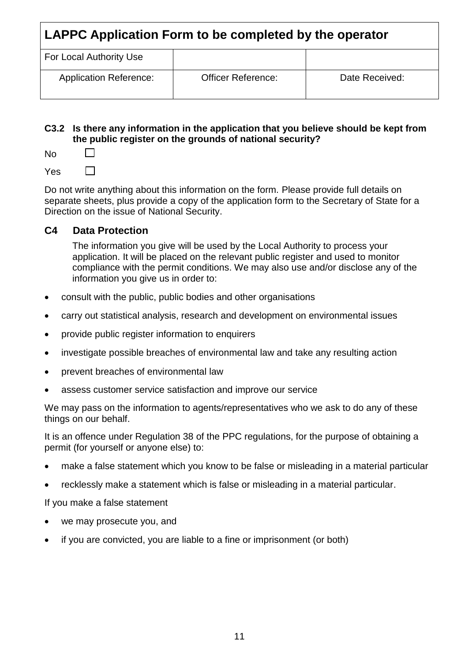| For Local Authority Use       |                           |                |
|-------------------------------|---------------------------|----------------|
| <b>Application Reference:</b> | <b>Officer Reference:</b> | Date Received: |

#### **C3.2 Is there any information in the application that you believe should be kept from the public register on the grounds of national security?**

No

 $\Box$ Yes

Do not write anything about this information on the form. Please provide full details on separate sheets, plus provide a copy of the application form to the Secretary of State for a Direction on the issue of National Security.

## **C4 Data Protection**

The information you give will be used by the Local Authority to process your application. It will be placed on the relevant public register and used to monitor compliance with the permit conditions. We may also use and/or disclose any of the information you give us in order to:

- consult with the public, public bodies and other organisations
- carry out statistical analysis, research and development on environmental issues
- provide public register information to enquirers
- investigate possible breaches of environmental law and take any resulting action
- prevent breaches of environmental law
- assess customer service satisfaction and improve our service

We may pass on the information to agents/representatives who we ask to do any of these things on our behalf.

It is an offence under Regulation 38 of the PPC regulations, for the purpose of obtaining a permit (for yourself or anyone else) to:

- make a false statement which you know to be false or misleading in a material particular
- recklessly make a statement which is false or misleading in a material particular.

If you make a false statement

- we may prosecute you, and
- if you are convicted, you are liable to a fine or imprisonment (or both)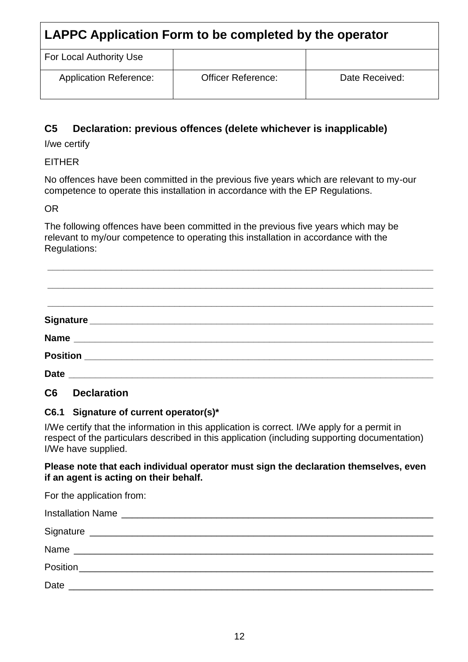| For Local Authority Use       |                           |                |
|-------------------------------|---------------------------|----------------|
| <b>Application Reference:</b> | <b>Officer Reference:</b> | Date Received: |

## **C5 Declaration: previous offences (delete whichever is inapplicable)**

I/we certify

EITHER

No offences have been committed in the previous five years which are relevant to my-our competence to operate this installation in accordance with the EP Regulations.

OR

The following offences have been committed in the previous five years which may be relevant to my/our competence to operating this installation in accordance with the Regulations:

**\_\_\_\_\_\_\_\_\_\_\_\_\_\_\_\_\_\_\_\_\_\_\_\_\_\_\_\_\_\_\_\_\_\_\_\_\_\_\_\_\_\_\_\_\_\_\_\_\_\_\_\_\_\_\_\_\_\_\_\_\_\_\_\_\_\_\_\_\_\_\_\_\_**

## **C6 Declaration**

## **C6.1 Signature of current operator(s)\***

I/We certify that the information in this application is correct. I/We apply for a permit in respect of the particulars described in this application (including supporting documentation) I/We have supplied.

#### **Please note that each individual operator must sign the declaration themselves, even if an agent is acting on their behalf.**

For the application from:

| Date<br><u> 1980 - Jan Berlin, mars ann an t-Alban ann an t-Alban ann an t-Alban ann an t-Alban ann an t-Alban ann an t-A</u> |  |
|-------------------------------------------------------------------------------------------------------------------------------|--|